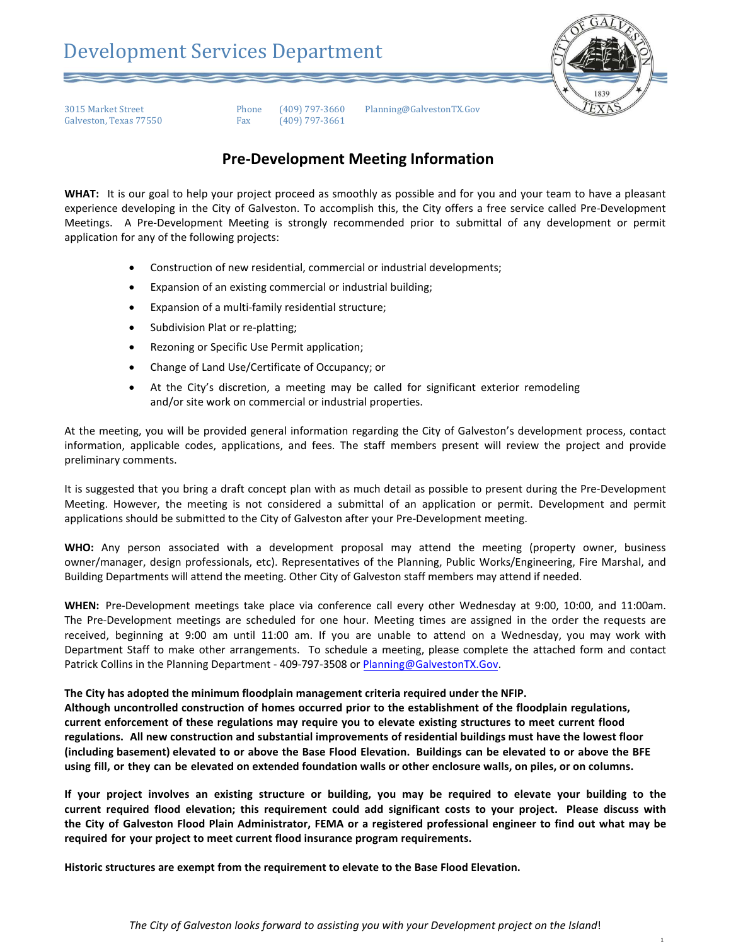

## **Pre-Development Meeting Information**

**WHAT:** It is our goal to help your project proceed as smoothly as possible and for you and your team to have a pleasant experience developing in the City of Galveston. To accomplish this, the City offers a free service called Pre-Development Meetings. A Pre-Development Meeting is strongly recommended prior to submittal of any development or permit application for any of the following projects:

- Construction of new residential, commercial or industrial developments;
- Expansion of an existing commercial or industrial building;
- Expansion of a multi-family residential structure;
- Subdivision Plat or re-platting;
- Rezoning or Specific Use Permit application;
- Change of Land Use/Certificate of Occupancy; or
- At the City's discretion, a meeting may be called for significant exterior remodeling and/or site work on commercial or industrial properties.

At the meeting, you will be provided general information regarding the City of Galveston's development process, contact information, applicable codes, applications, and fees. The staff members present will review the project and provide preliminary comments.

It is suggested that you bring a draft concept plan with as much detail as possible to present during the Pre-Development Meeting. However, the meeting is not considered a submittal of an application or permit. Development and permit applications should be submitted to the City of Galveston after your Pre-Development meeting.

**WHO:** Any person associated with a development proposal may attend the meeting (property owner, business owner/manager, design professionals, etc). Representatives of the Planning, Public Works/Engineering, Fire Marshal, and Building Departments will attend the meeting. Other City of Galveston staff members may attend if needed.

**WHEN:** Pre-Development meetings take place via conference call every other Wednesday at 9:00, 10:00, and 11:00am. The Pre-Development meetings are scheduled for one hour. Meeting times are assigned in the order the requests are received, beginning at 9:00 am until 11:00 am. If you are unable to attend on a Wednesday, you may work with Department Staff to make other arrangements. To schedule a meeting, please complete the attached form and contact Patrick Collins in the Planning Department - 409-797-3508 or Planning@GalvestonTX.Gov.

## **The City has adopted the minimum floodplain management criteria required under the NFIP.**

**Although uncontrolled construction of homes occurred prior to the establishment of the floodplain regulations, current enforcement of these regulations may require you to elevate existing structures to meet current flood regulations. All new construction and substantial improvements of residential buildings must have the lowest floor (including basement) elevated to or above the Base Flood Elevation. Buildings can be elevated to or above the BFE using fill, or they can be elevated on extended foundation walls or other enclosure walls, on piles, or on columns.** 

**If your project involves an existing structure or building, you may be required to elevate your building to the current required flood elevation; this requirement could add significant costs to your project. Please discuss with the City of Galveston Flood Plain Administrator, FEMA or a registered professional engineer to find out what may be required for your project to meet current flood insurance program requirements.** 

**Historic structures are exempt from the requirement to elevate to the Base Flood Elevation.** 

1